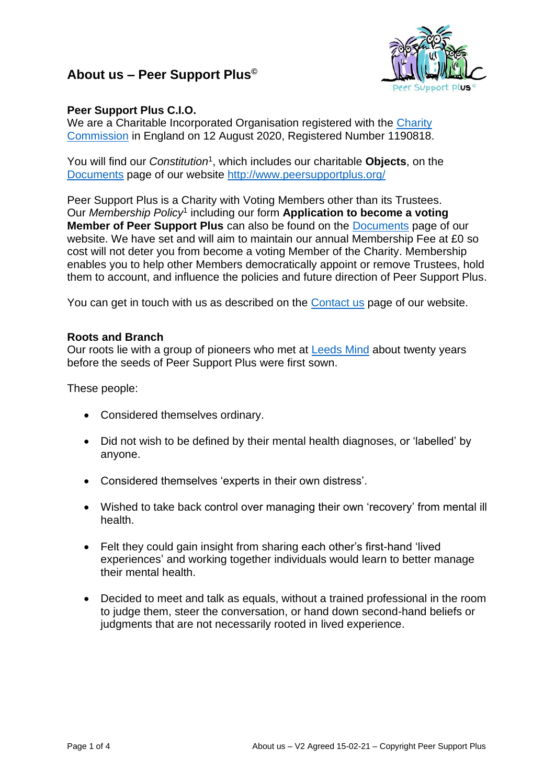## **About us – Peer Support Plus©**



## **Peer Support Plus C.I.O.**

We are a Charitable Incorporated Organisation registered with the Charity [Commission](https://register-of-charities.charitycommission.gov.uk/charity-search/-/charity-details/5161183) in England on 12 August 2020, Registered Number 1190818.

You will find our *Constitution<sup>1</sup>*, which includes our charitable **Objects**, on the [Documents](http://www.peersupportplus.org/documents/) page of our website <http://www.peersupportplus.org/>

Peer Support Plus is a Charity with Voting Members other than its Trustees. Our *Membership Policy*<sup>1</sup> including our form **Application to become a voting Member of Peer Support Plus** can also be found on the [Documents](http://www.peersupportplus.org/documents/) page of our website. We have set and will aim to maintain our annual Membership Fee at £0 so cost will not deter you from become a voting Member of the Charity. Membership enables you to help other Members democratically appoint or remove Trustees, hold them to account, and influence the policies and future direction of Peer Support Plus.

You can get in touch with us as described on the [Contact us](http://www.peersupportplus.org/contact/) page of our website.

## **Roots and Branch**

Our roots lie with a group of pioneers who met at [Leeds Mind](https://www.leedsmind.org.uk/services/peer-support/) about twenty years before the seeds of Peer Support Plus were first sown.

These people:

- Considered themselves ordinary.
- Did not wish to be defined by their mental health diagnoses, or 'labelled' by anyone.
- Considered themselves 'experts in their own distress'.
- Wished to take back control over managing their own 'recovery' from mental ill health.
- Felt they could gain insight from sharing each other's first-hand 'lived experiences' and working together individuals would learn to better manage their mental health.
- Decided to meet and talk as equals, without a trained professional in the room to judge them, steer the conversation, or hand down second-hand beliefs or judgments that are not necessarily rooted in lived experience.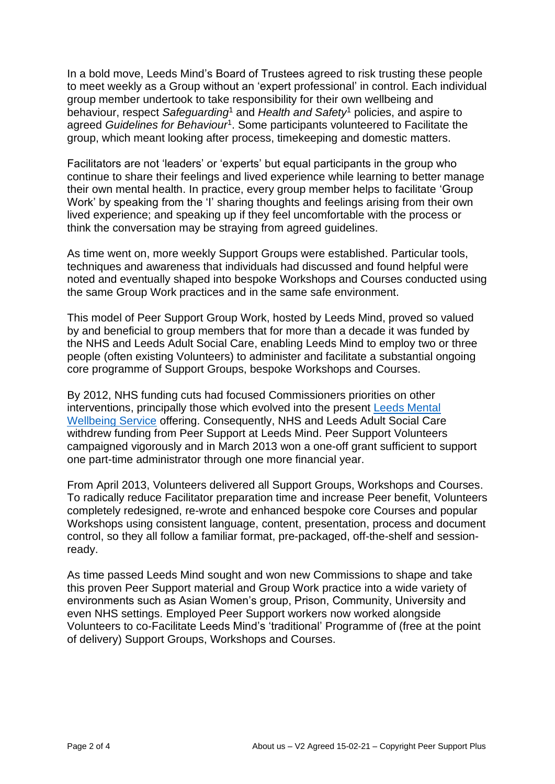In a bold move, Leeds Mind's Board of Trustees agreed to risk trusting these people to meet weekly as a Group without an 'expert professional' in control. Each individual group member undertook to take responsibility for their own wellbeing and behaviour, respect *Safeguarding*<sup>1</sup> and *Health and Safety*<sup>1</sup> policies, and aspire to agreed *Guidelines for Behaviour*<sup>1</sup> . Some participants volunteered to Facilitate the group, which meant looking after process, timekeeping and domestic matters.

Facilitators are not 'leaders' or 'experts' but equal participants in the group who continue to share their feelings and lived experience while learning to better manage their own mental health. In practice, every group member helps to facilitate 'Group Work' by speaking from the 'I' sharing thoughts and feelings arising from their own lived experience; and speaking up if they feel uncomfortable with the process or think the conversation may be straying from agreed guidelines.

As time went on, more weekly Support Groups were established. Particular tools, techniques and awareness that individuals had discussed and found helpful were noted and eventually shaped into bespoke Workshops and Courses conducted using the same Group Work practices and in the same safe environment.

This model of Peer Support Group Work, hosted by Leeds Mind, proved so valued by and beneficial to group members that for more than a decade it was funded by the NHS and Leeds Adult Social Care, enabling Leeds Mind to employ two or three people (often existing Volunteers) to administer and facilitate a substantial ongoing core programme of Support Groups, bespoke Workshops and Courses.

By 2012, NHS funding cuts had focused Commissioners priorities on other interventions, principally those which evolved into the present [Leeds Mental](file:///D:/Peer%20Support%20Plus/Documents/About%20us/eedscommunityhealthcare.nhs.uk/our-services-a-z/leeds-mental-wellbeing-service/home/)  [Wellbeing Service](file:///D:/Peer%20Support%20Plus/Documents/About%20us/eedscommunityhealthcare.nhs.uk/our-services-a-z/leeds-mental-wellbeing-service/home/) offering. Consequently, NHS and Leeds Adult Social Care withdrew funding from Peer Support at Leeds Mind. Peer Support Volunteers campaigned vigorously and in March 2013 won a one-off grant sufficient to support one part-time administrator through one more financial year.

From April 2013, Volunteers delivered all Support Groups, Workshops and Courses. To radically reduce Facilitator preparation time and increase Peer benefit, Volunteers completely redesigned, re-wrote and enhanced bespoke core Courses and popular Workshops using consistent language, content, presentation, process and document control, so they all follow a familiar format, pre-packaged, off-the-shelf and sessionready.

As time passed Leeds Mind sought and won new Commissions to shape and take this proven Peer Support material and Group Work practice into a wide variety of environments such as Asian Women's group, Prison, Community, University and even NHS settings. Employed Peer Support workers now worked alongside Volunteers to co-Facilitate Leeds Mind's 'traditional' Programme of (free at the point of delivery) Support Groups, Workshops and Courses.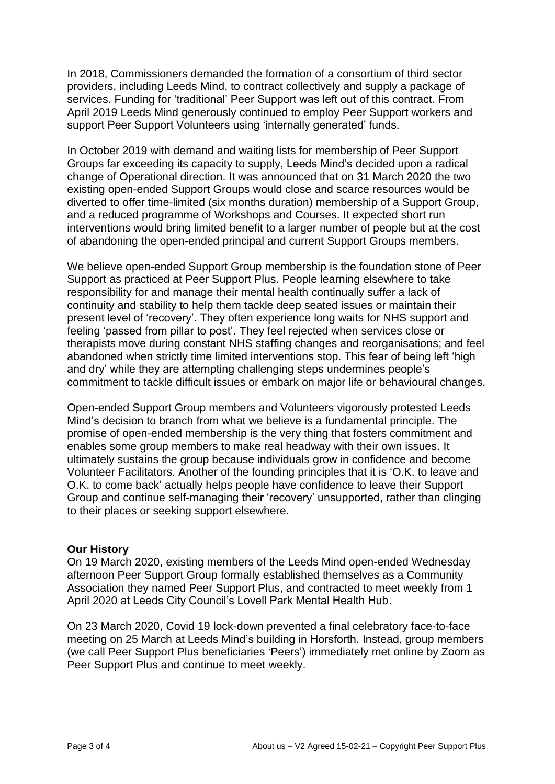In 2018, Commissioners demanded the formation of a consortium of third sector providers, including Leeds Mind, to contract collectively and supply a package of services. Funding for 'traditional' Peer Support was left out of this contract. From April 2019 Leeds Mind generously continued to employ Peer Support workers and support Peer Support Volunteers using 'internally generated' funds.

In October 2019 with demand and waiting lists for membership of Peer Support Groups far exceeding its capacity to supply, Leeds Mind's decided upon a radical change of Operational direction. It was announced that on 31 March 2020 the two existing open-ended Support Groups would close and scarce resources would be diverted to offer time-limited (six months duration) membership of a Support Group, and a reduced programme of Workshops and Courses. It expected short run interventions would bring limited benefit to a larger number of people but at the cost of abandoning the open-ended principal and current Support Groups members.

We believe open-ended Support Group membership is the foundation stone of Peer Support as practiced at Peer Support Plus. People learning elsewhere to take responsibility for and manage their mental health continually suffer a lack of continuity and stability to help them tackle deep seated issues or maintain their present level of 'recovery'. They often experience long waits for NHS support and feeling 'passed from pillar to post'. They feel rejected when services close or therapists move during constant NHS staffing changes and reorganisations; and feel abandoned when strictly time limited interventions stop. This fear of being left 'high and dry' while they are attempting challenging steps undermines people's commitment to tackle difficult issues or embark on major life or behavioural changes.

Open-ended Support Group members and Volunteers vigorously protested Leeds Mind's decision to branch from what we believe is a fundamental principle. The promise of open-ended membership is the very thing that fosters commitment and enables some group members to make real headway with their own issues. It ultimately sustains the group because individuals grow in confidence and become Volunteer Facilitators. Another of the founding principles that it is 'O.K. to leave and O.K. to come back' actually helps people have confidence to leave their Support Group and continue self-managing their 'recovery' unsupported, rather than clinging to their places or seeking support elsewhere.

## **Our History**

On 19 March 2020, existing members of the Leeds Mind open-ended Wednesday afternoon Peer Support Group formally established themselves as a Community Association they named Peer Support Plus, and contracted to meet weekly from 1 April 2020 at Leeds City Council's Lovell Park Mental Health Hub.

On 23 March 2020, Covid 19 lock-down prevented a final celebratory face-to-face meeting on 25 March at Leeds Mind's building in Horsforth. Instead, group members (we call Peer Support Plus beneficiaries 'Peers') immediately met online by Zoom as Peer Support Plus and continue to meet weekly.